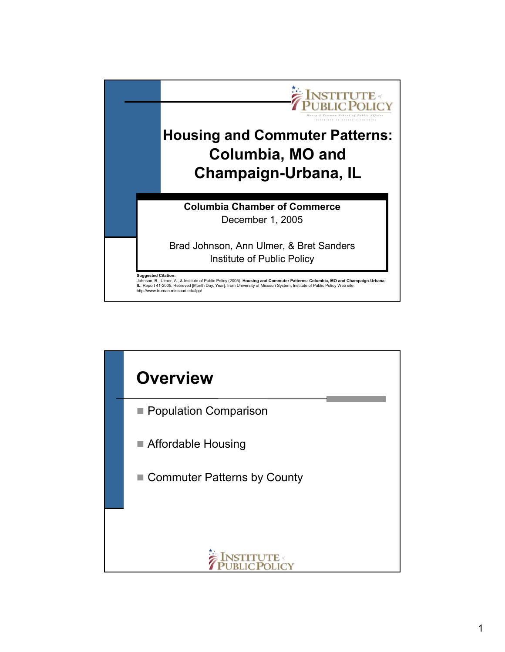

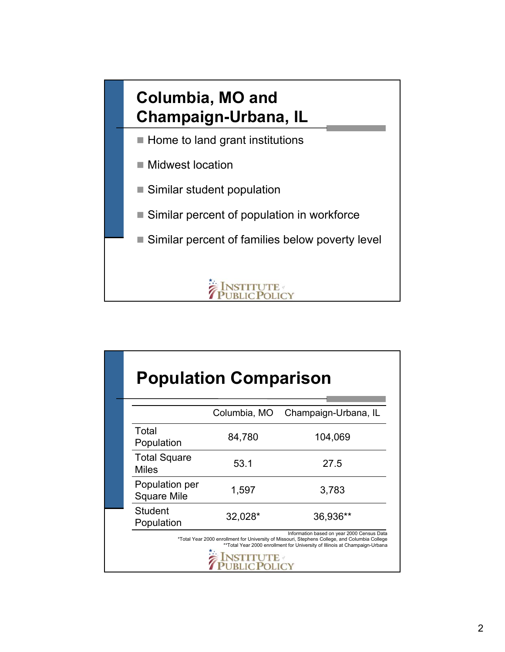## **Columbia, MO and Champaign-Urbana, IL**

- $\blacksquare$  Home to land grant institutions
- Midwest location
- Similar student population
- Similar percent of population in workforce
- Similar percent of families below poverty level



|                                      | <b>Population Comparison</b> |                                                                                                                                                                                                                              |
|--------------------------------------|------------------------------|------------------------------------------------------------------------------------------------------------------------------------------------------------------------------------------------------------------------------|
|                                      | Columbia, MO                 | Champaign-Urbana, IL                                                                                                                                                                                                         |
| Total<br>Population                  | 84,780                       | 104,069                                                                                                                                                                                                                      |
| <b>Total Square</b><br><b>Miles</b>  | 53.1                         | 27.5                                                                                                                                                                                                                         |
| Population per<br><b>Square Mile</b> | 1,597                        | 3,783                                                                                                                                                                                                                        |
| <b>Student</b><br>Population         | 32,028*                      | 36,936**                                                                                                                                                                                                                     |
|                                      |                              | Information based on year 2000 Census Data<br>*Total Year 2000 enrollment for University of Missouri, Stephens College, and Columbia College<br>** Total Year 2000 enrollment for University of Illinois at Champaign-Urbana |
|                                      |                              |                                                                                                                                                                                                                              |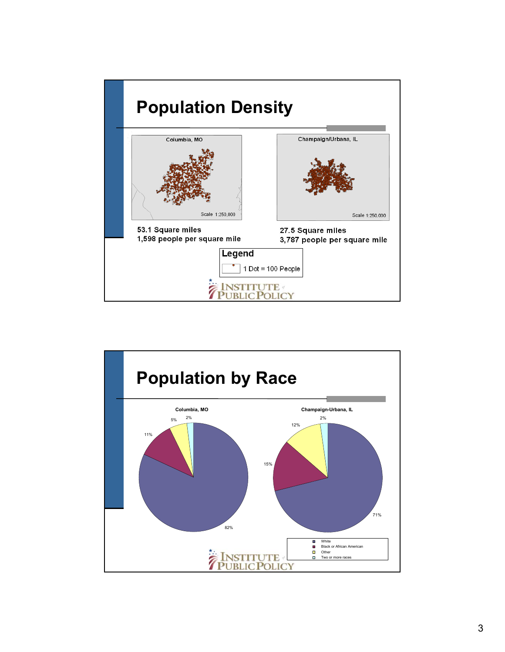

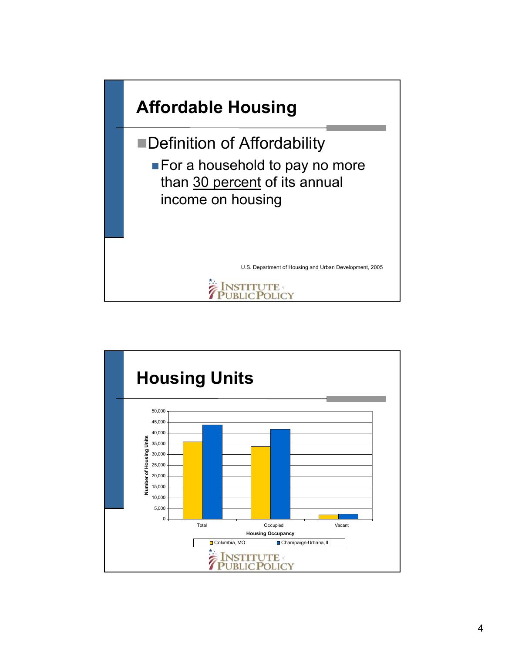

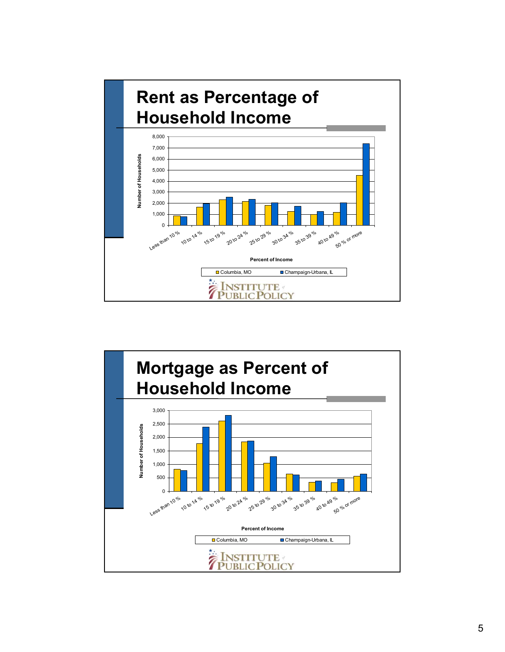

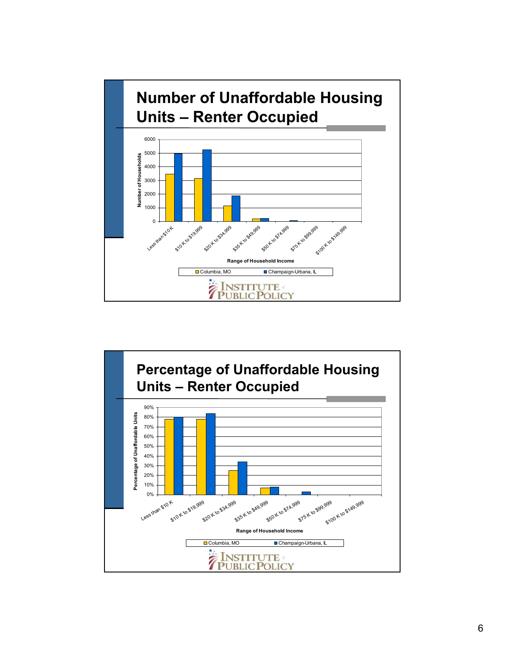

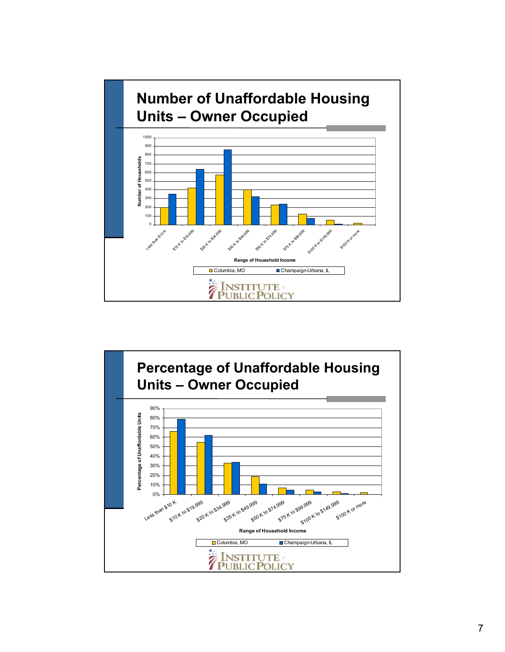

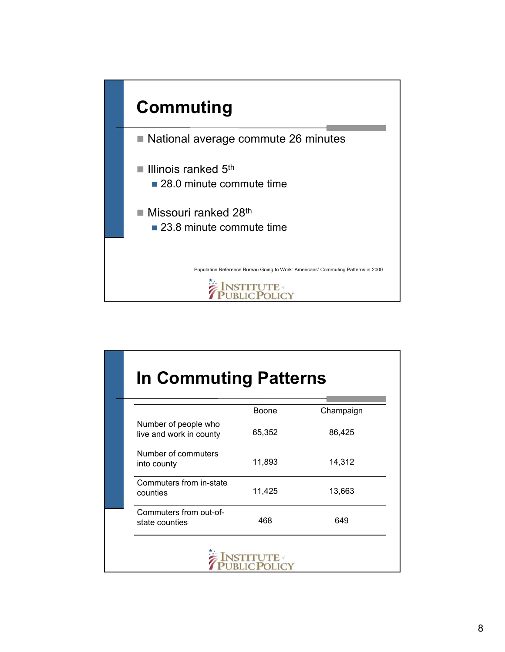

|                                                 | <b>Boone</b> | Champaign |
|-------------------------------------------------|--------------|-----------|
| Number of people who<br>live and work in county | 65,352       | 86,425    |
| Number of commuters<br>into county              | 11,893       | 14,312    |
| Commuters from in-state<br>counties             | 11,425       | 13,663    |
| Commuters from out-of-<br>state counties        | 468          | 649       |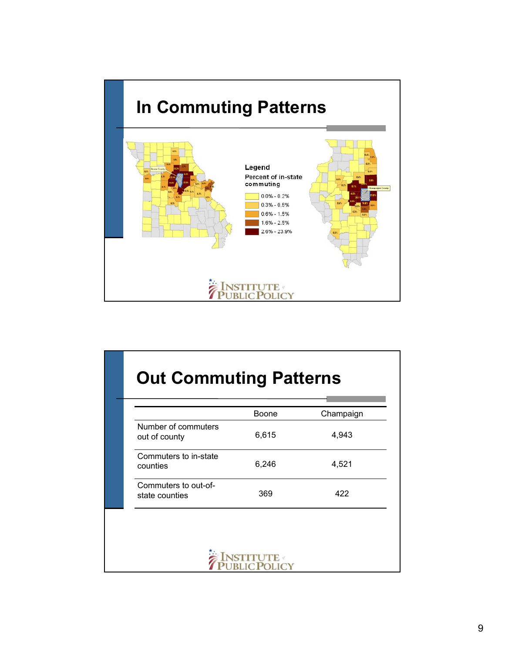

|                                        | <b>Boone</b> | Champaign |
|----------------------------------------|--------------|-----------|
| Number of commuters<br>out of county   | 6,615        | 4,943     |
| Commuters to in-state<br>counties      | 6,246        | 4,521     |
| Commuters to out-of-<br>state counties | 369          | 422       |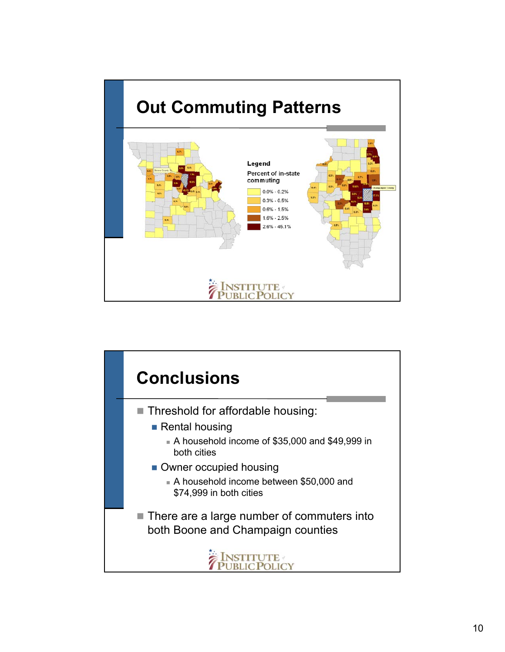